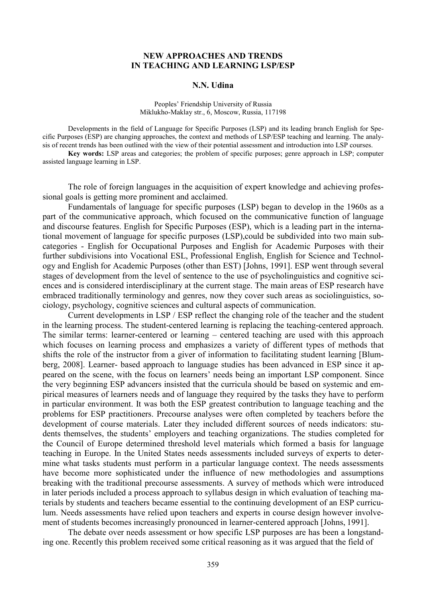## **NEW APPROACHES AND TRENDS IN TEACHING AND LEARNING LSP/ESP**

## **N.N. Udina**

Peoples' Friendship University of Russia Miklukho-Maklay str., 6, Moscow, Russia, 117198

Developments in the field of Language for Specific Purposes (LSP) and its leading branch English for Specific Purposes (ESP) are changing approaches, the context and methods of LSP/ESP teaching and learning. The analysis of recent trends has been outlined with the view of their potential assessment and introduction into LSP courses.

**Key words:** LSP areas and categories; the problem of specific purposes; genre approach in LSP; computer assisted language learning in LSP.

The role of foreign languages in the acquisition of expert knowledge and achieving professional goals is getting more prominent and acclaimed.

Fundamentals of language for specific purposes (LSP) began to develop in the 1960s as a part of the communicative approach, which focused on the communicative function of language and discourse features. English for Specific Purposes (ESP), which is a leading part in the international movement of language for specific purposes (LSP),could be subdivided into two main subcategories - English for Occupational Purposes and English for Academic Purposes with their further subdivisions into Vocational ESL, Professional English, English for Science and Technology and English for Academic Purposes (other than EST) [Johns, 1991]. ESP went through several stages of development from the level of sentence to the use of psycholinguistics and cognitive sciences and is considered interdisciplinary at the current stage. The main areas of ESP research have embraced traditionally terminology and genres, now they cover such areas as sociolinguistics, sociology, psychology, cognitive sciences and cultural aspects of communication.

Current developments in LSP / ESP reflect the changing role of the teacher and the student in the learning process. The student-centered learning is replacing the teaching-centered approach. The similar terms: learner-centered or learning – centered teaching are used with this approach which focuses on learning process and emphasizes a variety of different types of methods that shifts the role of the instructor from a giver of information to facilitating student learning [Blumberg, 2008]. Learner- based approach to language studies has been advanced in ESP since it appeared on the scene, with the focus on learners' needs being an important LSP component. Since the very beginning ESP advancers insisted that the curricula should be based on systemic and empirical measures of learners needs and of language they required by the tasks they have to perform in particular environment. It was both the ESP greatest contribution to language teaching and the problems for ESP practitioners. Precourse analyses were often completed by teachers before the development of course materials. Later they included different sources of needs indicators: students themselves, the students' employers and teaching organizations. The studies completed for the Council of Europe determined threshold level materials which formed a basis for language teaching in Europe. In the United States needs assessments included surveys of experts to determine what tasks students must perform in a particular language context. The needs assessments have become more sophisticated under the influence of new methodologies and assumptions breaking with the traditional precourse assessments. A survey of methods which were introduced in later periods included a process approach to syllabus design in which evaluation of teaching materials by students and teachers became essential to the continuing development of an ESP curriculum. Needs assessments have relied upon teachers and experts in course design however involvement of students becomes increasingly pronounced in learner-centered approach [Johns, 1991].

The debate over needs assessment or how specific LSP purposes are has been a longstanding one. Recently this problem received some critical reasoning as it was argued that the field of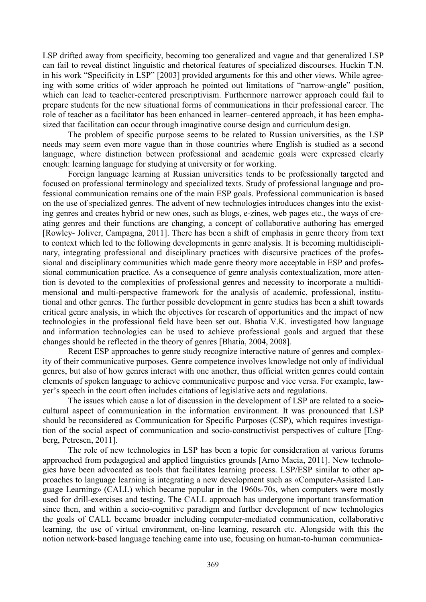LSP drifted away from specificity, becoming too generalized and vague and that generalized LSP can fail to reveal distinct linguistic and rhetorical features of specialized discourses. Huckin T.N. in his work "Specificity in LSP" [2003] provided arguments for this and other views. While agreeing with some critics of wider approach he pointed out limitations of "narrow-angle" position, which can lead to teacher-centered prescriptivism. Furthermore narrower approach could fail to prepare students for the new situational forms of communications in their professional career. The role of teacher as a facilitator has been enhanced in learner–centered approach, it has been emphasized that facilitation can occur through imaginative course design and curriculum design.

The problem of specific purpose seems to be related to Russian universities, as the LSP needs may seem even more vague than in those countries where English is studied as a second language, where distinction between professional and academic goals were expressed clearly enough: learning language for studying at university or for working.

Foreign language learning at Russian universities tends to be professionally targeted and focused on professional terminology and specialized texts. Study of professional language and professional communication remains one of the main ESP goals. Professional communication is based on the use of specialized genres. The advent of new technologies introduces changes into the existing genres and creates hybrid or new ones, such as blogs, e-zines, web pages etc., the ways of creating genres and their functions are changing, a concept of collaborative authoring has emerged [Rowley- Joliver, Campagna, 2011]. There has been a shift of emphasis in genre theory from text to context which led to the following developments in genre analysis. It is becoming multidisciplinary, integrating professional and disciplinary practices with discursive practices of the professional and disciplinary communities which made genre theory more acceptable in ESP and professional communication practice. As a consequence of genre analysis contextualization, more attention is devoted to the complexities of professional genres and necessity to incorporate a multidimensional and multi-perspective framework for the analysis of academic, professional, institutional and other genres. The further possible development in genre studies has been a shift towards critical genre analysis, in which the objectives for research of opportunities and the impact of new technologies in the professional field have been set out. Bhatia V.K. investigated how language and information technologies can be used to achieve professional goals and argued that these changes should be reflected in the theory of genres [Bhatia, 2004, 2008].

Recent ESP approaches to genre study recognize interactive nature of genres and complexity of their communicative purposes. Genre competence involves knowledge not only of individual genres, but also of how genres interact with one another, thus official written genres could contain elements of spoken language to achieve communicative purpose and vice versa. For example, lawyer's speech in the court often includes citations of legislative acts and regulations.

The issues which cause a lot of discussion in the development of LSP are related to a sociocultural aspect of communication in the information environment. It was pronounced that LSP should be reconsidered as Communication for Specific Purposes (CSP), which requires investigation of the social aspect of communication and socio-constructivist perspectives of culture [Engberg, Petresen, 2011].

The role of new technologies in LSP has been a topic for consideration at various forums approached from pedagogical and applied linguistics grounds [Arno Macia, 2011]. New technologies have been advocated as tools that facilitates learning process. LSP/ESP similar to other approaches to language learning is integrating a new development such as «Computer-Assisted Language Learning» (CALL) which became popular in the 1960s-70s, when computers were mostly used for drill-exercises and testing. The CALL approach has undergone important transformation since then, and within a socio-cognitive paradigm and further development of new technologies the goals of CALL became broader including computer-mediated communication, collaborative learning, the use of virtual environment, on-line learning, research etc. Alongside with this the notion network-based language teaching came into use, focusing on human-to-human communica